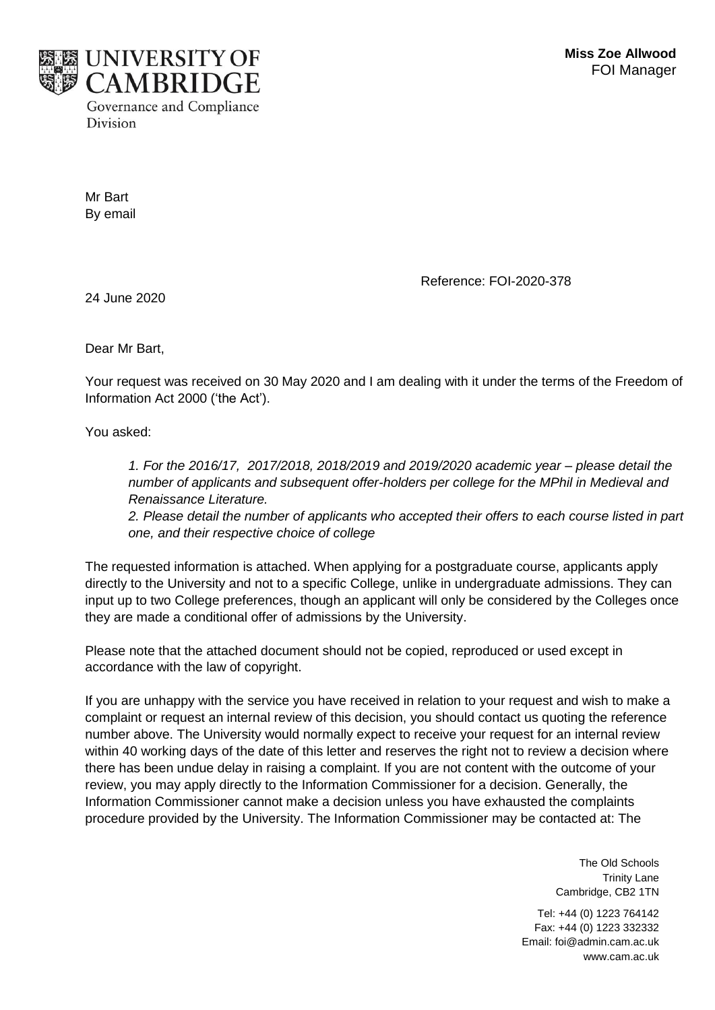

Mr Bart By email

Reference: FOI-2020-378

24 June 2020

Dear Mr Bart,

Your request was received on 30 May 2020 and I am dealing with it under the terms of the Freedom of Information Act 2000 ('the Act').

You asked:

*1. For the 2016/17, 2017/2018, 2018/2019 and 2019/2020 academic year – please detail the number of applicants and subsequent offer-holders per college for the MPhil in Medieval and Renaissance Literature.* 

*2. Please detail the number of applicants who accepted their offers to each course listed in part one, and their respective choice of college*

The requested information is attached. When applying for a postgraduate course, applicants apply directly to the University and not to a specific College, unlike in undergraduate admissions. They can input up to two College preferences, though an applicant will only be considered by the Colleges once they are made a conditional offer of admissions by the University.

Please note that the attached document should not be copied, reproduced or used except in accordance with the law of copyright.

If you are unhappy with the service you have received in relation to your request and wish to make a complaint or request an internal review of this decision, you should contact us quoting the reference number above. The University would normally expect to receive your request for an internal review within 40 working days of the date of this letter and reserves the right not to review a decision where there has been undue delay in raising a complaint. If you are not content with the outcome of your review, you may apply directly to the Information Commissioner for a decision. Generally, the Information Commissioner cannot make a decision unless you have exhausted the complaints procedure provided by the University. The Information Commissioner may be contacted at: The

> The Old Schools Trinity Lane Cambridge, CB2 1TN

Tel: +44 (0) 1223 764142 Fax: +44 (0) 1223 332332 Email: foi@admin.cam.ac.uk www.cam.ac.uk